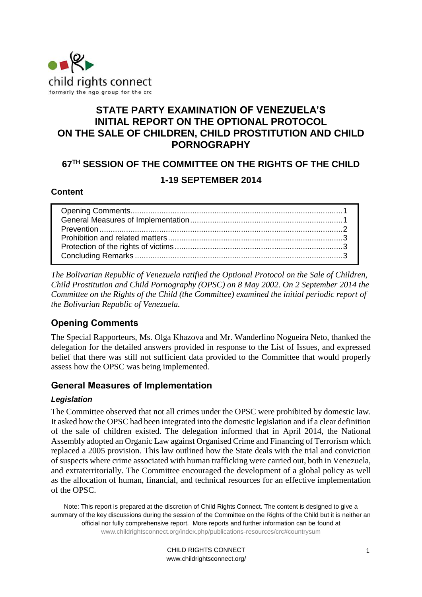

# **STATE PARTY EXAMINATION OF VENEZUELA'S INITIAL REPORT ON THE OPTIONAL PROTOCOL ON THE SALE OF CHILDREN, CHILD PROSTITUTION AND CHILD PORNOGRAPHY**

## **67TH SESSION OF THE COMMITTEE ON THE RIGHTS OF THE CHILD**

### **1-19 SEPTEMBER 2014**

#### **Content**

*The Bolivarian Republic of Venezuela ratified the Optional Protocol on the Sale of Children, Child Prostitution and Child Pornography (OPSC) on 8 May 2002. On 2 September 2014 the Committee on the Rights of the Child (the Committee) examined the initial periodic report of the Bolivarian Republic of Venezuela.* 

## <span id="page-0-0"></span>**Opening Comments**

The Special Rapporteurs, Ms. Olga Khazova and Mr. Wanderlino Nogueira Neto, thanked the delegation for the detailed answers provided in response to the List of Issues, and expressed belief that there was still not sufficient data provided to the Committee that would properly assess how the OPSC was being implemented.

### <span id="page-0-1"></span>**General Measures of Implementation**

#### *Legislation*

The Committee observed that not all crimes under the OPSC were prohibited by domestic law. It asked how the OPSC had been integrated into the domestic legislation and if a clear definition of the sale of children existed. The delegation informed that in April 2014, the National Assembly adopted an Organic Law against Organised Crime and Financing of Terrorism which replaced a 2005 provision. This law outlined how the State deals with the trial and conviction of suspects where crime associated with human trafficking were carried out, both in Venezuela, and extraterritorially. The Committee encouraged the development of a global policy as well as the allocation of human, financial, and technical resources for an effective implementation of the OPSC.

Note: This report is prepared at the discretion of Child Rights Connect. The content is designed to give a summary of the key discussions during the session of the Committee on the Rights of the Child but it is neither an official nor fully comprehensive report. More reports and further information can be found at [www.childrightsconnect.org/index.php/publications-resources/crc#countrysum](http://www.childrightsconnect.org/index.php/publications-resources/crc#countrysum)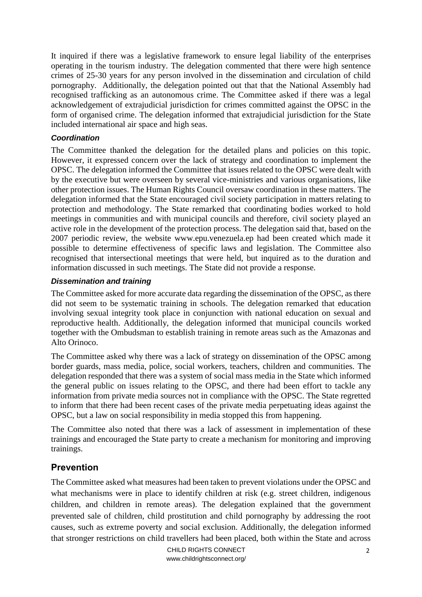It inquired if there was a legislative framework to ensure legal liability of the enterprises operating in the tourism industry. The delegation commented that there were high sentence crimes of 25-30 years for any person involved in the dissemination and circulation of child pornography. Additionally, the delegation pointed out that that the National Assembly had recognised trafficking as an autonomous crime. The Committee asked if there was a legal acknowledgement of extrajudicial jurisdiction for crimes committed against the OPSC in the form of organised crime. The delegation informed that extrajudicial jurisdiction for the State included international air space and high seas.

#### *Coordination*

The Committee thanked the delegation for the detailed plans and policies on this topic. However, it expressed concern over the lack of strategy and coordination to implement the OPSC. The delegation informed the Committee that issues related to the OPSC were dealt with by the executive but were overseen by several vice-ministries and various organisations, like other protection issues. The Human Rights Council oversaw coordination in these matters. The delegation informed that the State encouraged civil society participation in matters relating to protection and methodology. The State remarked that coordinating bodies worked to hold meetings in communities and with municipal councils and therefore, civil society played an active role in the development of the protection process. The delegation said that, based on the 2007 periodic review, the website [www.epu.venezuela.ep](http://www.epu.venezuela.ep/) had been created which made it possible to determine effectiveness of specific laws and legislation. The Committee also recognised that intersectional meetings that were held, but inquired as to the duration and information discussed in such meetings. The State did not provide a response.

#### *Dissemination and training*

The Committee asked for more accurate data regarding the dissemination of the OPSC, as there did not seem to be systematic training in schools. The delegation remarked that education involving sexual integrity took place in conjunction with national education on sexual and reproductive health. Additionally, the delegation informed that municipal councils worked together with the Ombudsman to establish training in remote areas such as the Amazonas and Alto Orinoco.

The Committee asked why there was a lack of strategy on dissemination of the OPSC among border guards, mass media, police, social workers, teachers, children and communities. The delegation responded that there was a system of social mass media in the State which informed the general public on issues relating to the OPSC, and there had been effort to tackle any information from private media sources not in compliance with the OPSC. The State regretted to inform that there had been recent cases of the private media perpetuating ideas against the OPSC, but a law on social responsibility in media stopped this from happening.

The Committee also noted that there was a lack of assessment in implementation of these trainings and encouraged the State party to create a mechanism for monitoring and improving trainings.

### <span id="page-1-0"></span>**Prevention**

The Committee asked what measures had been taken to prevent violations under the OPSC and what mechanisms were in place to identify children at risk (e.g. street children, indigenous children, and children in remote areas). The delegation explained that the government prevented sale of children, child prostitution and child pornography by addressing the root causes, such as extreme poverty and social exclusion. Additionally, the delegation informed that stronger restrictions on child travellers had been placed, both within the State and across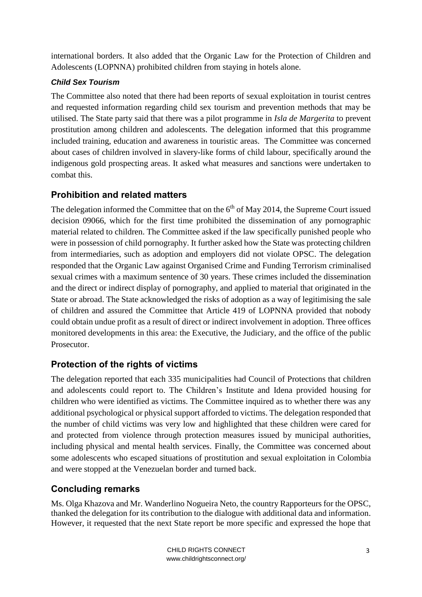international borders. It also added that the Organic Law for the Protection of Children and Adolescents (LOPNNA) prohibited children from staying in hotels alone.

## *Child Sex Tourism*

The Committee also noted that there had been reports of sexual exploitation in tourist centres and requested information regarding child sex tourism and prevention methods that may be utilised. The State party said that there was a pilot programme in *Isla de Margerita* to prevent prostitution among children and adolescents. The delegation informed that this programme included training, education and awareness in touristic areas. The Committee was concerned about cases of children involved in slavery-like forms of child labour, specifically around the indigenous gold prospecting areas. It asked what measures and sanctions were undertaken to combat this.

# **Prohibition and related matters**

The delegation informed the Committee that on the  $6<sup>th</sup>$  of May 2014, the Supreme Court issued decision 09066, which for the first time prohibited the dissemination of any pornographic material related to children. The Committee asked if the law specifically punished people who were in possession of child pornography. It further asked how the State was protecting children from intermediaries, such as adoption and employers did not violate OPSC. The delegation responded that the Organic Law against Organised Crime and Funding Terrorism criminalised sexual crimes with a maximum sentence of 30 years. These crimes included the dissemination and the direct or indirect display of pornography, and applied to material that originated in the State or abroad. The State acknowledged the risks of adoption as a way of legitimising the sale of children and assured the Committee that Article 419 of LOPNNA provided that nobody could obtain undue profit as a result of direct or indirect involvement in adoption. Three offices monitored developments in this area: the Executive, the Judiciary, and the office of the public Prosecutor.

## **Protection of the rights of victims**

The delegation reported that each 335 municipalities had Council of Protections that children and adolescents could report to. The Children's Institute and Idena provided housing for children who were identified as victims. The Committee inquired as to whether there was any additional psychological or physical support afforded to victims. The delegation responded that the number of child victims was very low and highlighted that these children were cared for and protected from violence through protection measures issued by municipal authorities, including physical and mental health services. Finally, the Committee was concerned about some adolescents who escaped situations of prostitution and sexual exploitation in Colombia and were stopped at the Venezuelan border and turned back.

## **Concluding remarks**

Ms. Olga Khazova and Mr. Wanderlino Nogueira Neto, the country Rapporteurs for the OPSC, thanked the delegation for its contribution to the dialogue with additional data and information. However, it requested that the next State report be more specific and expressed the hope that